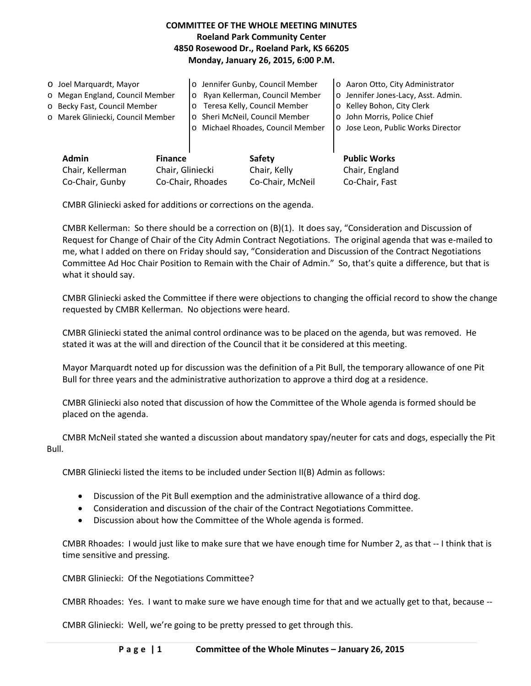# **COMMITTEE OF THE WHOLE MEETING MINUTES Roeland Park Community Center 4850 Rosewood Dr., Roeland Park, KS 66205 Monday, January 26, 2015, 6:00 P.M.**

| O Joel Marquardt, Mayor<br>o Megan England, Council Member<br>o Becky Fast, Council Member<br>o Marek Gliniecki, Council Member |  | o Jennifer Gunby, Council Member<br>Ryan Kellerman, Council Member<br>$\circ$<br>o Teresa Kelly, Council Member<br>o Sheri McNeil, Council Member<br>o Michael Rhoades, Council Member |                                            | o Aaron Otto, City Administrator<br>o Jennifer Jones-Lacy, Asst. Admin.<br>o Kelley Bohon, City Clerk<br>o John Morris, Police Chief<br>o Jose Leon, Public Works Director |
|---------------------------------------------------------------------------------------------------------------------------------|--|----------------------------------------------------------------------------------------------------------------------------------------------------------------------------------------|--------------------------------------------|----------------------------------------------------------------------------------------------------------------------------------------------------------------------------|
| <b>Admin</b><br><b>Finance</b><br>Chair, Gliniecki<br>Chair, Kellerman<br>Co-Chair, Gunby                                       |  | Co-Chair, Rhoades                                                                                                                                                                      | Safety<br>Chair, Kelly<br>Co-Chair, McNeil | <b>Public Works</b><br>Chair, England<br>Co-Chair, Fast                                                                                                                    |

CMBR Gliniecki asked for additions or corrections on the agenda.

CMBR Kellerman: So there should be a correction on (B)(1). It does say, "Consideration and Discussion of Request for Change of Chair of the City Admin Contract Negotiations. The original agenda that was e-mailed to me, what I added on there on Friday should say, "Consideration and Discussion of the Contract Negotiations Committee Ad Hoc Chair Position to Remain with the Chair of Admin." So, that's quite a difference, but that is what it should say.

CMBR Gliniecki asked the Committee if there were objections to changing the official record to show the change requested by CMBR Kellerman. No objections were heard.

CMBR Gliniecki stated the animal control ordinance was to be placed on the agenda, but was removed. He stated it was at the will and direction of the Council that it be considered at this meeting.

Mayor Marquardt noted up for discussion was the definition of a Pit Bull, the temporary allowance of one Pit Bull for three years and the administrative authorization to approve a third dog at a residence.

CMBR Gliniecki also noted that discussion of how the Committee of the Whole agenda is formed should be placed on the agenda.

CMBR McNeil stated she wanted a discussion about mandatory spay/neuter for cats and dogs, especially the Pit Bull.

CMBR Gliniecki listed the items to be included under Section II(B) Admin as follows:

- Discussion of the Pit Bull exemption and the administrative allowance of a third dog.
- Consideration and discussion of the chair of the Contract Negotiations Committee.
- Discussion about how the Committee of the Whole agenda is formed.

CMBR Rhoades: I would just like to make sure that we have enough time for Number 2, as that -- I think that is time sensitive and pressing.

CMBR Gliniecki: Of the Negotiations Committee?

CMBR Rhoades: Yes. I want to make sure we have enough time for that and we actually get to that, because --

CMBR Gliniecki: Well, we're going to be pretty pressed to get through this.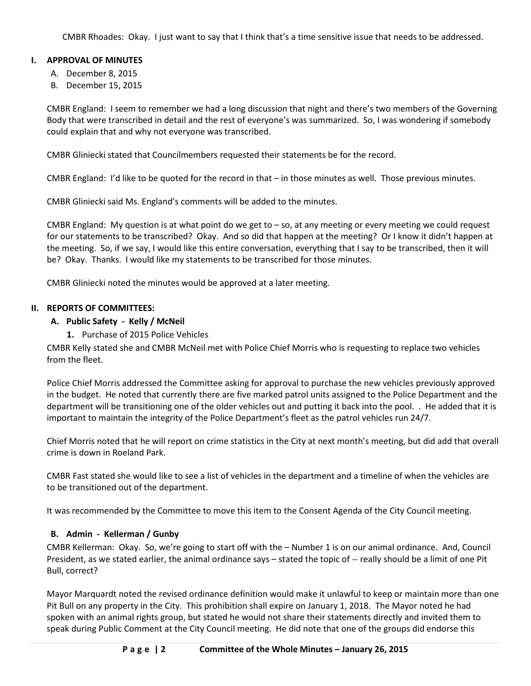CMBR Rhoades: Okay. I just want to say that I think that's a time sensitive issue that needs to be addressed.

# **I. APPROVAL OF MINUTES**

- A. December 8, 2015
- B. December 15, 2015

CMBR England: I seem to remember we had a long discussion that night and there's two members of the Governing Body that were transcribed in detail and the rest of everyone's was summarized. So, I was wondering if somebody could explain that and why not everyone was transcribed.

CMBR Gliniecki stated that Councilmembers requested their statements be for the record.

CMBR England: I'd like to be quoted for the record in that – in those minutes as well. Those previous minutes.

CMBR Gliniecki said Ms. England's comments will be added to the minutes.

CMBR England: My question is at what point do we get to – so, at any meeting or every meeting we could request for our statements to be transcribed? Okay. And so did that happen at the meeting? Or I know it didn't happen at the meeting. So, if we say, I would like this entire conversation, everything that I say to be transcribed, then it will be? Okay. Thanks. I would like my statements to be transcribed for those minutes.

CMBR Gliniecki noted the minutes would be approved at a later meeting.

## **II. REPORTS OF COMMITTEES:**

# **A. Public Safety - Kelly / McNeil**

**1.** Purchase of 2015 Police Vehicles

CMBR Kelly stated she and CMBR McNeil met with Police Chief Morris who is requesting to replace two vehicles from the fleet.

Police Chief Morris addressed the Committee asking for approval to purchase the new vehicles previously approved in the budget. He noted that currently there are five marked patrol units assigned to the Police Department and the department will be transitioning one of the older vehicles out and putting it back into the pool. . He added that it is important to maintain the integrity of the Police Department's fleet as the patrol vehicles run 24/7.

Chief Morris noted that he will report on crime statistics in the City at next month's meeting, but did add that overall crime is down in Roeland Park.

CMBR Fast stated she would like to see a list of vehicles in the department and a timeline of when the vehicles are to be transitioned out of the department.

It was recommended by the Committee to move this item to the Consent Agenda of the City Council meeting.

## **B. Admin - Kellerman / Gunby**

CMBR Kellerman: Okay. So, we're going to start off with the – Number 1 is on our animal ordinance. And, Council President, as we stated earlier, the animal ordinance says – stated the topic of -- really should be a limit of one Pit Bull, correct?

Mayor Marquardt noted the revised ordinance definition would make it unlawful to keep or maintain more than one Pit Bull on any property in the City. This prohibition shall expire on January 1, 2018. The Mayor noted he had spoken with an animal rights group, but stated he would not share their statements directly and invited them to speak during Public Comment at the City Council meeting. He did note that one of the groups did endorse this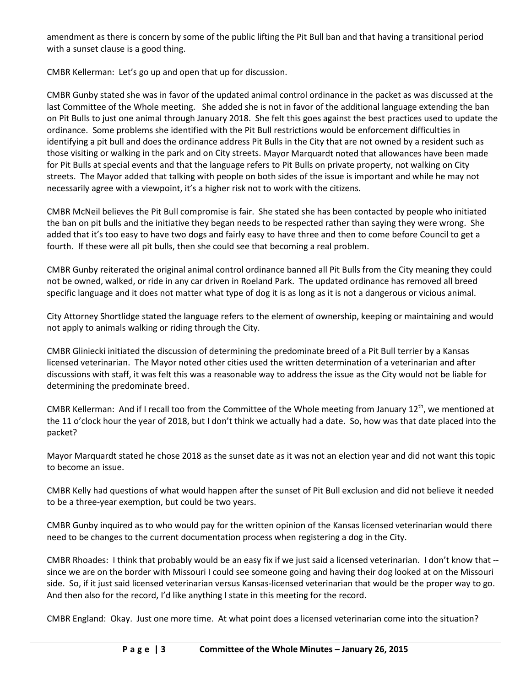amendment as there is concern by some of the public lifting the Pit Bull ban and that having a transitional period with a sunset clause is a good thing.

CMBR Kellerman: Let's go up and open that up for discussion.

CMBR Gunby stated she was in favor of the updated animal control ordinance in the packet as was discussed at the last Committee of the Whole meeting. She added she is not in favor of the additional language extending the ban on Pit Bulls to just one animal through January 2018. She felt this goes against the best practices used to update the ordinance. Some problems she identified with the Pit Bull restrictions would be enforcement difficulties in identifying a pit bull and does the ordinance address Pit Bulls in the City that are not owned by a resident such as those visiting or walking in the park and on City streets. Mayor Marquardt noted that allowances have been made for Pit Bulls at special events and that the language refers to Pit Bulls on private property, not walking on City streets. The Mayor added that talking with people on both sides of the issue is important and while he may not necessarily agree with a viewpoint, it's a higher risk not to work with the citizens.

CMBR McNeil believes the Pit Bull compromise is fair. She stated she has been contacted by people who initiated the ban on pit bulls and the initiative they began needs to be respected rather than saying they were wrong. She added that it's too easy to have two dogs and fairly easy to have three and then to come before Council to get a fourth. If these were all pit bulls, then she could see that becoming a real problem.

CMBR Gunby reiterated the original animal control ordinance banned all Pit Bulls from the City meaning they could not be owned, walked, or ride in any car driven in Roeland Park. The updated ordinance has removed all breed specific language and it does not matter what type of dog it is as long as it is not a dangerous or vicious animal.

City Attorney Shortlidge stated the language refers to the element of ownership, keeping or maintaining and would not apply to animals walking or riding through the City.

CMBR Gliniecki initiated the discussion of determining the predominate breed of a Pit Bull terrier by a Kansas licensed veterinarian. The Mayor noted other cities used the written determination of a veterinarian and after discussions with staff, it was felt this was a reasonable way to address the issue as the City would not be liable for determining the predominate breed.

CMBR Kellerman: And if I recall too from the Committee of the Whole meeting from January 12<sup>th</sup>, we mentioned at the 11 o'clock hour the year of 2018, but I don't think we actually had a date. So, how was that date placed into the packet?

Mayor Marquardt stated he chose 2018 as the sunset date as it was not an election year and did not want this topic to become an issue.

CMBR Kelly had questions of what would happen after the sunset of Pit Bull exclusion and did not believe it needed to be a three-year exemption, but could be two years.

CMBR Gunby inquired as to who would pay for the written opinion of the Kansas licensed veterinarian would there need to be changes to the current documentation process when registering a dog in the City.

CMBR Rhoades: I think that probably would be an easy fix if we just said a licensed veterinarian. I don't know that - since we are on the border with Missouri I could see someone going and having their dog looked at on the Missouri side. So, if it just said licensed veterinarian versus Kansas-licensed veterinarian that would be the proper way to go. And then also for the record, I'd like anything I state in this meeting for the record.

CMBR England: Okay. Just one more time. At what point does a licensed veterinarian come into the situation?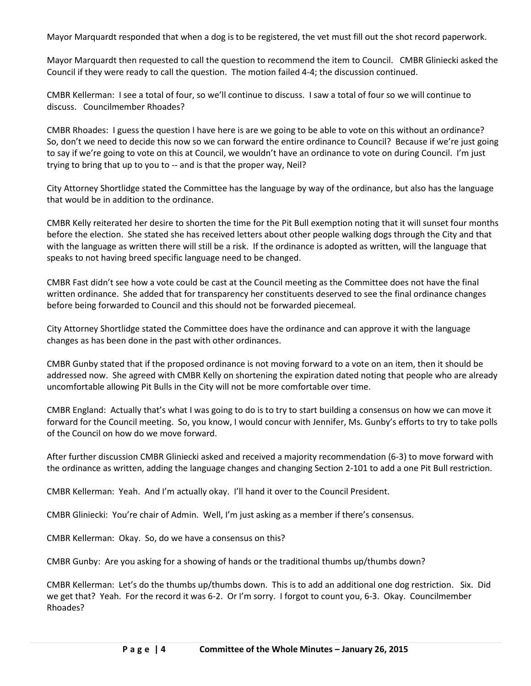Mayor Marquardt responded that when a dog is to be registered, the vet must fill out the shot record paperwork.

Mayor Marquardt then requested to call the question to recommend the item to Council. CMBR Gliniecki asked the Council if they were ready to call the question. The motion failed 4-4; the discussion continued.

CMBR Kellerman: I see a total of four, so we'll continue to discuss. I saw a total of four so we will continue to discuss. Councilmember Rhoades?

CMBR Rhoades: I guess the question I have here is are we going to be able to vote on this without an ordinance? So, don't we need to decide this now so we can forward the entire ordinance to Council? Because if we're just going to say if we're going to vote on this at Council, we wouldn't have an ordinance to vote on during Council. I'm just trying to bring that up to you to -- and is that the proper way, Neil?

City Attorney Shortlidge stated the Committee has the language by way of the ordinance, but also has the language that would be in addition to the ordinance.

CMBR Kelly reiterated her desire to shorten the time for the Pit Bull exemption noting that it will sunset four months before the election. She stated she has received letters about other people walking dogs through the City and that with the language as written there will still be a risk. If the ordinance is adopted as written, will the language that speaks to not having breed specific language need to be changed.

CMBR Fast didn't see how a vote could be cast at the Council meeting as the Committee does not have the final written ordinance. She added that for transparency her constituents deserved to see the final ordinance changes before being forwarded to Council and this should not be forwarded piecemeal.

City Attorney Shortlidge stated the Committee does have the ordinance and can approve it with the language changes as has been done in the past with other ordinances.

CMBR Gunby stated that if the proposed ordinance is not moving forward to a vote on an item, then it should be addressed now. She agreed with CMBR Kelly on shortening the expiration dated noting that people who are already uncomfortable allowing Pit Bulls in the City will not be more comfortable over time.

CMBR England: Actually that's what I was going to do is to try to start building a consensus on how we can move it forward for the Council meeting. So, you know, I would concur with Jennifer, Ms. Gunby's efforts to try to take polls of the Council on how do we move forward.

After further discussion CMBR Gliniecki asked and received a majority recommendation (6-3) to move forward with the ordinance as written, adding the language changes and changing Section 2-101 to add a one Pit Bull restriction.

CMBR Kellerman: Yeah. And I'm actually okay. I'll hand it over to the Council President.

CMBR Gliniecki: You're chair of Admin. Well, I'm just asking as a member if there's consensus.

CMBR Kellerman: Okay. So, do we have a consensus on this?

CMBR Gunby: Are you asking for a showing of hands or the traditional thumbs up/thumbs down?

CMBR Kellerman: Let's do the thumbs up/thumbs down. This is to add an additional one dog restriction. Six. Did we get that? Yeah. For the record it was 6-2. Or I'm sorry. I forgot to count you, 6-3. Okay. Councilmember Rhoades?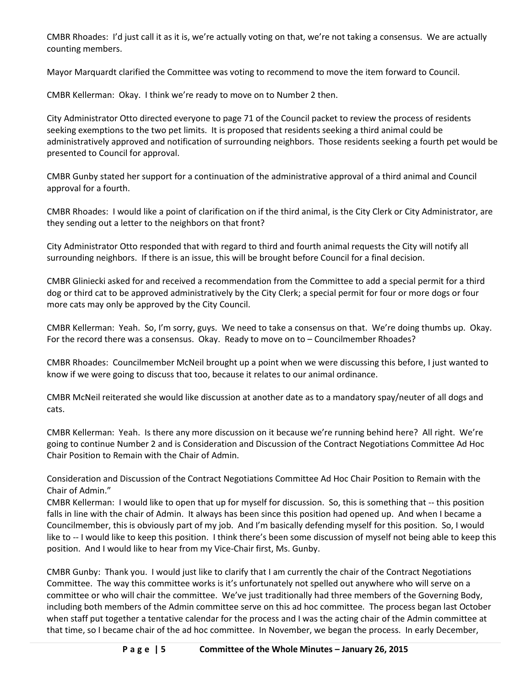CMBR Rhoades: I'd just call it as it is, we're actually voting on that, we're not taking a consensus. We are actually counting members.

Mayor Marquardt clarified the Committee was voting to recommend to move the item forward to Council.

CMBR Kellerman: Okay. I think we're ready to move on to Number 2 then.

City Administrator Otto directed everyone to page 71 of the Council packet to review the process of residents seeking exemptions to the two pet limits. It is proposed that residents seeking a third animal could be administratively approved and notification of surrounding neighbors. Those residents seeking a fourth pet would be presented to Council for approval.

CMBR Gunby stated her support for a continuation of the administrative approval of a third animal and Council approval for a fourth.

CMBR Rhoades: I would like a point of clarification on if the third animal, is the City Clerk or City Administrator, are they sending out a letter to the neighbors on that front?

City Administrator Otto responded that with regard to third and fourth animal requests the City will notify all surrounding neighbors. If there is an issue, this will be brought before Council for a final decision.

CMBR Gliniecki asked for and received a recommendation from the Committee to add a special permit for a third dog or third cat to be approved administratively by the City Clerk; a special permit for four or more dogs or four more cats may only be approved by the City Council.

CMBR Kellerman: Yeah. So, I'm sorry, guys. We need to take a consensus on that. We're doing thumbs up. Okay. For the record there was a consensus. Okay. Ready to move on to – Councilmember Rhoades?

CMBR Rhoades: Councilmember McNeil brought up a point when we were discussing this before, I just wanted to know if we were going to discuss that too, because it relates to our animal ordinance.

CMBR McNeil reiterated she would like discussion at another date as to a mandatory spay/neuter of all dogs and cats.

CMBR Kellerman: Yeah. Is there any more discussion on it because we're running behind here? All right. We're going to continue Number 2 and is Consideration and Discussion of the Contract Negotiations Committee Ad Hoc Chair Position to Remain with the Chair of Admin.

Consideration and Discussion of the Contract Negotiations Committee Ad Hoc Chair Position to Remain with the Chair of Admin."

CMBR Kellerman: I would like to open that up for myself for discussion. So, this is something that -- this position falls in line with the chair of Admin. It always has been since this position had opened up. And when I became a Councilmember, this is obviously part of my job. And I'm basically defending myself for this position. So, I would like to -- I would like to keep this position. I think there's been some discussion of myself not being able to keep this position. And I would like to hear from my Vice-Chair first, Ms. Gunby.

CMBR Gunby: Thank you. I would just like to clarify that I am currently the chair of the Contract Negotiations Committee. The way this committee works is it's unfortunately not spelled out anywhere who will serve on a committee or who will chair the committee. We've just traditionally had three members of the Governing Body, including both members of the Admin committee serve on this ad hoc committee. The process began last October when staff put together a tentative calendar for the process and I was the acting chair of the Admin committee at that time, so I became chair of the ad hoc committee. In November, we began the process. In early December,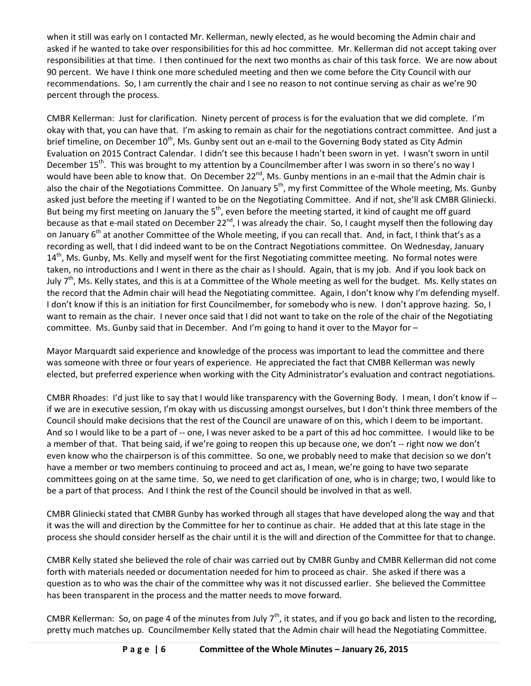when it still was early on I contacted Mr. Kellerman, newly elected, as he would becoming the Admin chair and asked if he wanted to take over responsibilities for this ad hoc committee. Mr. Kellerman did not accept taking over responsibilities at that time. I then continued for the next two months as chair of this task force. We are now about 90 percent. We have I think one more scheduled meeting and then we come before the City Council with our recommendations. So, I am currently the chair and I see no reason to not continue serving as chair as we're 90 percent through the process.

CMBR Kellerman: Just for clarification. Ninety percent of process is for the evaluation that we did complete. I'm okay with that, you can have that. I'm asking to remain as chair for the negotiations contract committee. And just a brief timeline, on December 10<sup>th</sup>, Ms. Gunby sent out an e-mail to the Governing Body stated as City Admin Evaluation on 2015 Contract Calendar. I didn't see this because I hadn't been sworn in yet. I wasn't sworn in until December 15<sup>th</sup>. This was brought to my attention by a Councilmember after I was sworn in so there's no way I would have been able to know that. On December 22<sup>nd</sup>, Ms. Gunby mentions in an e-mail that the Admin chair is also the chair of the Negotiations Committee. On January  $5<sup>th</sup>$ , my first Committee of the Whole meeting, Ms. Gunby asked just before the meeting if I wanted to be on the Negotiating Committee. And if not, she'll ask CMBR Gliniecki. But being my first meeting on January the  $5<sup>th</sup>$ , even before the meeting started, it kind of caught me off guard because as that e-mail stated on December 22<sup>nd</sup>, I was already the chair. So, I caught myself then the following day on January  $6<sup>th</sup>$  at another Committee of the Whole meeting, if you can recall that. And, in fact, I think that's as a recording as well, that I did indeed want to be on the Contract Negotiations committee. On Wednesday, January  $14<sup>th</sup>$ , Ms. Gunby, Ms. Kelly and myself went for the first Negotiating committee meeting. No formal notes were taken, no introductions and I went in there as the chair as I should. Again, that is my job. And if you look back on July 7<sup>th</sup>, Ms. Kelly states, and this is at a Committee of the Whole meeting as well for the budget. Ms. Kelly states on the record that the Admin chair will head the Negotiating committee. Again, I don't know why I'm defending myself. I don't know if this is an initiation for first Councilmember, for somebody who is new. I don't approve hazing. So, I want to remain as the chair. I never once said that I did not want to take on the role of the chair of the Negotiating committee. Ms. Gunby said that in December. And I'm going to hand it over to the Mayor for -

Mayor Marquardt said experience and knowledge of the process was important to lead the committee and there was someone with three or four years of experience. He appreciated the fact that CMBR Kellerman was newly elected, but preferred experience when working with the City Administrator's evaluation and contract negotiations.

CMBR Rhoades: I'd just like to say that I would like transparency with the Governing Body. I mean, I don't know if - if we are in executive session, I'm okay with us discussing amongst ourselves, but I don't think three members of the Council should make decisions that the rest of the Council are unaware of on this, which I deem to be important. And so I would like to be a part of -- one, I was never asked to be a part of this ad hoc committee. I would like to be a member of that. That being said, if we're going to reopen this up because one, we don't -- right now we don't even know who the chairperson is of this committee. So one, we probably need to make that decision so we don't have a member or two members continuing to proceed and act as, I mean, we're going to have two separate committees going on at the same time. So, we need to get clarification of one, who is in charge; two, I would like to be a part of that process. And I think the rest of the Council should be involved in that as well.

CMBR Gliniecki stated that CMBR Gunby has worked through all stages that have developed along the way and that it was the will and direction by the Committee for her to continue as chair. He added that at this late stage in the process she should consider herself as the chair until it is the will and direction of the Committee for that to change.

CMBR Kelly stated she believed the role of chair was carried out by CMBR Gunby and CMBR Kellerman did not come forth with materials needed or documentation needed for him to proceed as chair. She asked if there was a question as to who was the chair of the committee why was it not discussed earlier. She believed the Committee has been transparent in the process and the matter needs to move forward.

CMBR Kellerman: So, on page 4 of the minutes from July  $7<sup>th</sup>$ , it states, and if you go back and listen to the recording, pretty much matches up. Councilmember Kelly stated that the Admin chair will head the Negotiating Committee.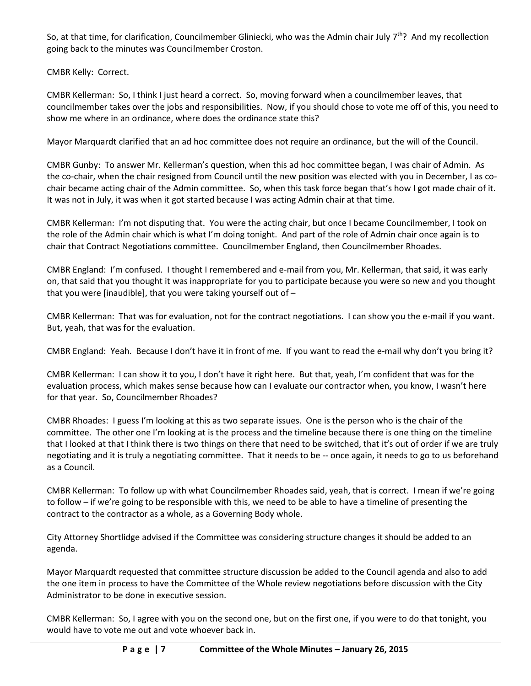So, at that time, for clarification, Councilmember Gliniecki, who was the Admin chair July  $7^{th}$ ? And my recollection going back to the minutes was Councilmember Croston.

CMBR Kelly: Correct.

CMBR Kellerman: So, I think I just heard a correct. So, moving forward when a councilmember leaves, that councilmember takes over the jobs and responsibilities. Now, if you should chose to vote me off of this, you need to show me where in an ordinance, where does the ordinance state this?

Mayor Marquardt clarified that an ad hoc committee does not require an ordinance, but the will of the Council.

CMBR Gunby: To answer Mr. Kellerman's question, when this ad hoc committee began, I was chair of Admin. As the co-chair, when the chair resigned from Council until the new position was elected with you in December, I as cochair became acting chair of the Admin committee. So, when this task force began that's how I got made chair of it. It was not in July, it was when it got started because I was acting Admin chair at that time.

CMBR Kellerman: I'm not disputing that. You were the acting chair, but once I became Councilmember, I took on the role of the Admin chair which is what I'm doing tonight. And part of the role of Admin chair once again is to chair that Contract Negotiations committee. Councilmember England, then Councilmember Rhoades.

CMBR England: I'm confused. I thought I remembered and e-mail from you, Mr. Kellerman, that said, it was early on, that said that you thought it was inappropriate for you to participate because you were so new and you thought that you were [inaudible], that you were taking yourself out of –

CMBR Kellerman: That was for evaluation, not for the contract negotiations. I can show you the e-mail if you want. But, yeah, that was for the evaluation.

CMBR England: Yeah. Because I don't have it in front of me. If you want to read the e-mail why don't you bring it?

CMBR Kellerman: I can show it to you, I don't have it right here. But that, yeah, I'm confident that was for the evaluation process, which makes sense because how can I evaluate our contractor when, you know, I wasn't here for that year. So, Councilmember Rhoades?

CMBR Rhoades: I guess I'm looking at this as two separate issues. One is the person who is the chair of the committee. The other one I'm looking at is the process and the timeline because there is one thing on the timeline that I looked at that I think there is two things on there that need to be switched, that it's out of order if we are truly negotiating and it is truly a negotiating committee. That it needs to be -- once again, it needs to go to us beforehand as a Council.

CMBR Kellerman: To follow up with what Councilmember Rhoades said, yeah, that is correct. I mean if we're going to follow – if we're going to be responsible with this, we need to be able to have a timeline of presenting the contract to the contractor as a whole, as a Governing Body whole.

City Attorney Shortlidge advised if the Committee was considering structure changes it should be added to an agenda.

Mayor Marquardt requested that committee structure discussion be added to the Council agenda and also to add the one item in process to have the Committee of the Whole review negotiations before discussion with the City Administrator to be done in executive session.

CMBR Kellerman: So, I agree with you on the second one, but on the first one, if you were to do that tonight, you would have to vote me out and vote whoever back in.